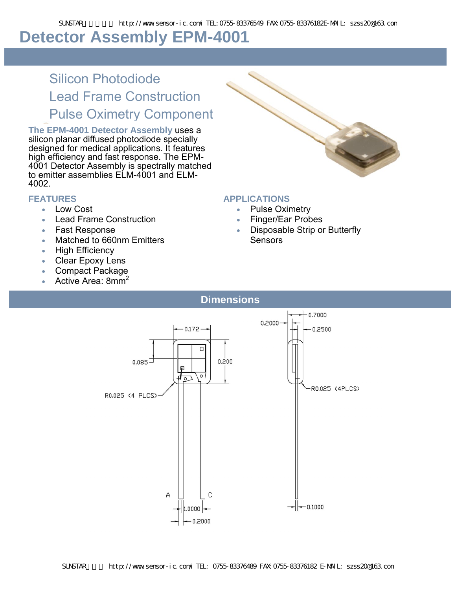# **Detector Assembly EPM-4001**

# Silicon Photodiode Lead Frame Construction Pulse Oximetry Component

**The EPM-4001 Detector Assembly** uses a silicon planar diffused photodiode specially designed for medical applications. It features high efficiency and fast response. The EPM-4001 Detector Assembly is spectrally matched to emitter assemblies ELM-4001 and ELM-4002.

#### **FEATURES**

- Low Cost
- **Lead Frame Construction**
- Fast Response
- Matched to 660nm Emitters
- High Efficiency
- Clear Epoxy Lens
- Compact Package
- Active Area:  $8mm<sup>2</sup>$



#### **APPLICATIONS**

- Pulse Oximetry
- Finger/Ear Probes
- Disposable Strip or Butterfly Sensors
- **Dimensions**